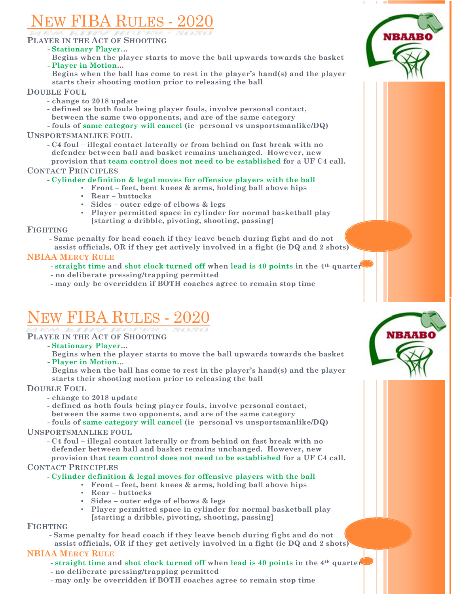# w FIBA RULES - 20

## **PLAYER IN THE ACT OF SHOOTING**

## **- Stationary Player…**

**Begins when the player starts to move the ball upwards towards the basket - Player in Motion…**

 **Begins when the ball has come to rest in the player's hand(s) and the player starts their shooting motion prior to releasing the ball**

## **DOUBLE FOUL**

- **- change to 2018 update**
- **- defined as both fouls being player fouls, involve personal contact, between the same two opponents, and are of the same category**

**- fouls of same category will cancel (ie personal vs unsportsmanlike/DQ) UNSPORTSMANLIKE FOUL**

**- C4 foul – illegal contact laterally or from behind on fast break with no defender between ball and basket remains unchanged. However, new provision that team control does not need to be established for a UF C4 call.**

**CONTACT PRINCIPLES**

## **- Cylinder definition & legal moves for offensive players with the ball**

- **▪ Front – feet, bent knees & arms, holding ball above hips**
	- **▪ Rear – buttocks**
	- **▪ Sides – outer edge of elbows & legs**
	- **▪ Player permitted space in cylinder for normal basketball play [starting a dribble, pivoting, shooting, passing]**

### **FIGHTING**

**- Same penalty for head coach if they leave bench during fight and do not**

 **assist officials, OR if they get actively involved in a fight (ie DQ and 2 shots)**

## **NBIAA MERCY RULE**

- **- straight time and shot clock turned off when lead is 40 points in the 4th quarter**
- **- no deliberate pressing/trapping permitted**
- **- may only be overridden if BOTH coaches agree to remain stop time**

## EW FIBA RULES -

- **PLAYER IN THE ACT OF SHOOTING**
	- **- Stationary Player…**

 **Begins when the player starts to move the ball upwards towards the basket - Player in Motion…**

 **Begins when the ball has come to rest in the player's hand(s) and the player starts their shooting motion prior to releasing the ball**

## **DOUBLE FOUL**

- **- change to 2018 update**
- **- defined as both fouls being player fouls, involve personal contact, between the same two opponents, and are of the same category**

**- fouls of same category will cancel (ie personal vs unsportsmanlike/DQ) UNSPORTSMANLIKE FOUL**

**- C4 foul – illegal contact laterally or from behind on fast break with no defender between ball and basket remains unchanged. However, new provision that team control does not need to be established for a UF C4 call.**

## **CONTACT PRINCIPLES**

## **- Cylinder definition & legal moves for offensive players with the ball**

- **▪ Front – feet, bent knees & arms, holding ball above hips**
- **▪ Rear – buttocks**
- **▪ Sides – outer edge of elbows & legs**
- **▪ Player permitted space in cylinder for normal basketball play [starting a dribble, pivoting, shooting, passing]**

## **FIGHTING**

**- Same penalty for head coach if they leave bench during fight and do not assist officials, OR if they get actively involved in a fight (ie DQ and 2 shots)**

## **NBIAA MERCY RULE**

- **- straight time and shot clock turned off when lead is 40 points in the 4th quarter**
- **- no deliberate pressing/trapping permitted**
- **- may only be overridden if BOTH coaches agree to remain stop time**